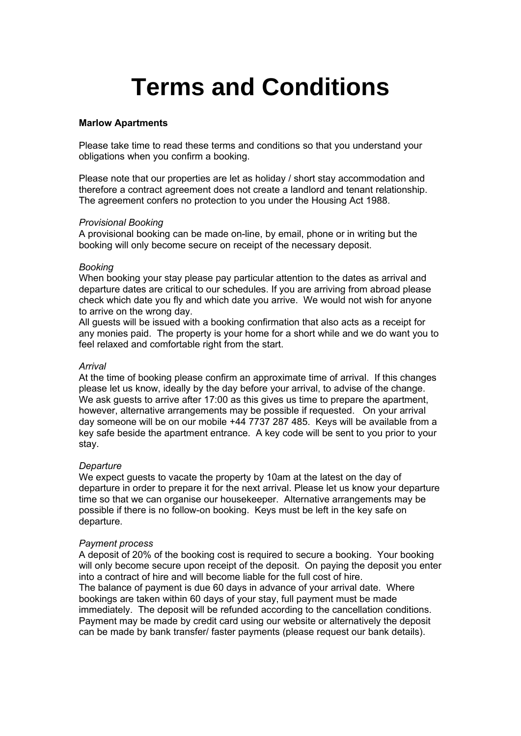# **Terms and Conditions**

#### **Marlow Apartments**

Please take time to read these terms and conditions so that you understand your obligations when you confirm a booking.

Please note that our properties are let as holiday / short stay accommodation and therefore a contract agreement does not create a landlord and tenant relationship. The agreement confers no protection to you under the Housing Act 1988.

## *Provisional Booking*

A provisional booking can be made on-line, by email, phone or in writing but the booking will only become secure on receipt of the necessary deposit.

#### *Booking*

When booking your stay please pay particular attention to the dates as arrival and departure dates are critical to our schedules. If you are arriving from abroad please check which date you fly and which date you arrive. We would not wish for anyone to arrive on the wrong day.

All guests will be issued with a booking confirmation that also acts as a receipt for any monies paid. The property is your home for a short while and we do want you to feel relaxed and comfortable right from the start.

#### *Arrival*

At the time of booking please confirm an approximate time of arrival. If this changes please let us know, ideally by the day before your arrival, to advise of the change. We ask quests to arrive after 17:00 as this gives us time to prepare the apartment, however, alternative arrangements may be possible if requested. On your arrival day someone will be on our mobile +44 7737 287 485. Keys will be available from a key safe beside the apartment entrance. A key code will be sent to you prior to your stay.

# *Departure*

We expect guests to vacate the property by 10am at the latest on the day of departure in order to prepare it for the next arrival. Please let us know your departure time so that we can organise our housekeeper. Alternative arrangements may be possible if there is no follow-on booking. Keys must be left in the key safe on departure.

#### *Payment process*

A deposit of 20% of the booking cost is required to secure a booking. Your booking will only become secure upon receipt of the deposit. On paying the deposit you enter into a contract of hire and will become liable for the full cost of hire. The balance of payment is due 60 days in advance of your arrival date. Where bookings are taken within 60 days of your stay, full payment must be made immediately. The deposit will be refunded according to the cancellation conditions. Payment may be made by credit card using our website or alternatively the deposit can be made by bank transfer/ faster payments (please request our bank details).